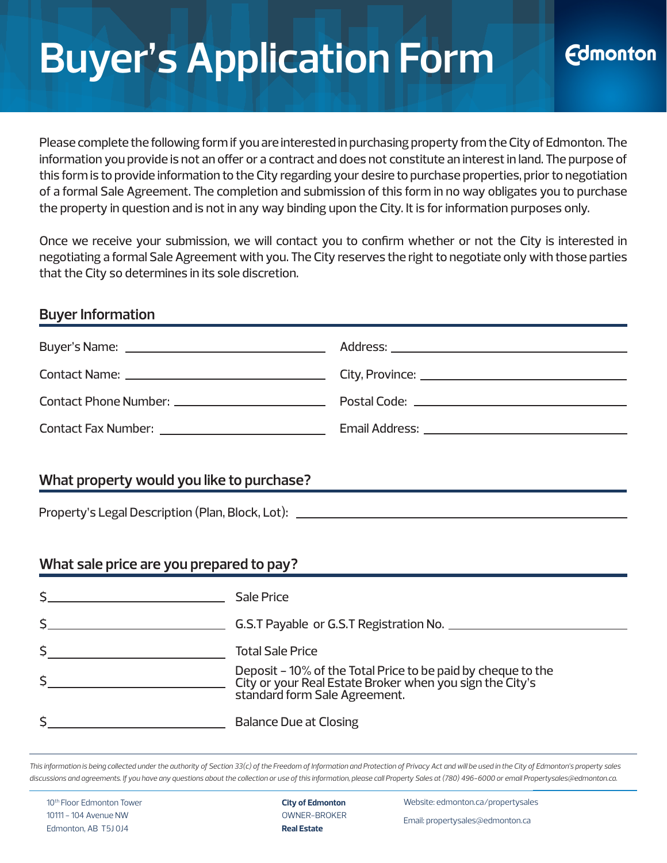# **Buyer's Application Form**

Please complete the following form if you are interested in purchasing property from the City of Edmonton. The information you provide is not an offer or a contract and does not constitute an interest in land. The purpose of this form is to provide information to the City regarding your desire to purchase properties, prior to negotiation of a formal Sale Agreement. The completion and submission of this form in no way obligates you to purchase the property in question and is not in any way binding upon the City. It is for information purposes only.

Once we receive your submission, we will contact you to confirm whether or not the City is interested in negotiating a formal Sale Agreement with you. The City reserves the right to negotiate only with those parties that the City so determines in its sole discretion.

### **Buyer Information**

| Contact Phone Number: __________________________ |  |
|--------------------------------------------------|--|
|                                                  |  |
|                                                  |  |

### **What property would you like to purchase?**

Property's Legal Description (Plan, Block, Lot):

### **What sale price are you prepared to pay?**

| Sale Price                                                                                                                                                |
|-----------------------------------------------------------------------------------------------------------------------------------------------------------|
| G.S.T Payable or G.S.T Registration No.                                                                                                                   |
| <b>Total Sale Price</b>                                                                                                                                   |
| Deposit - 10% of the Total Price to be paid by cheque to the<br>City or your Real Estate Broker when you sign the City's<br>standard form Sale Agreement. |
| <b>Balance Due at Closing</b>                                                                                                                             |

*This information is being collected under the authority of Section 33(c) of the Freedom of Information and Protection of Privacy Act and will be used in the City of Edmonton's property sales discussions and agreements. If you have any questions about the collection or use of this information, please call Property Sales at (780) 496-6000 or email Propertysales@edmonton.ca.*

10<sup>th</sup> Floor Edmonton Tower 10111 - 104 Avenue NW Edmonton, AB T5J 0J4

**City of Edmonton** OWNER-BROKER **Real Estate**

Website: [edmonton.ca/propertysales](https://www.edmonton.ca/business_economy/land-sales.aspx)

**Edmonton** 

Email: propertysales@edmonton.ca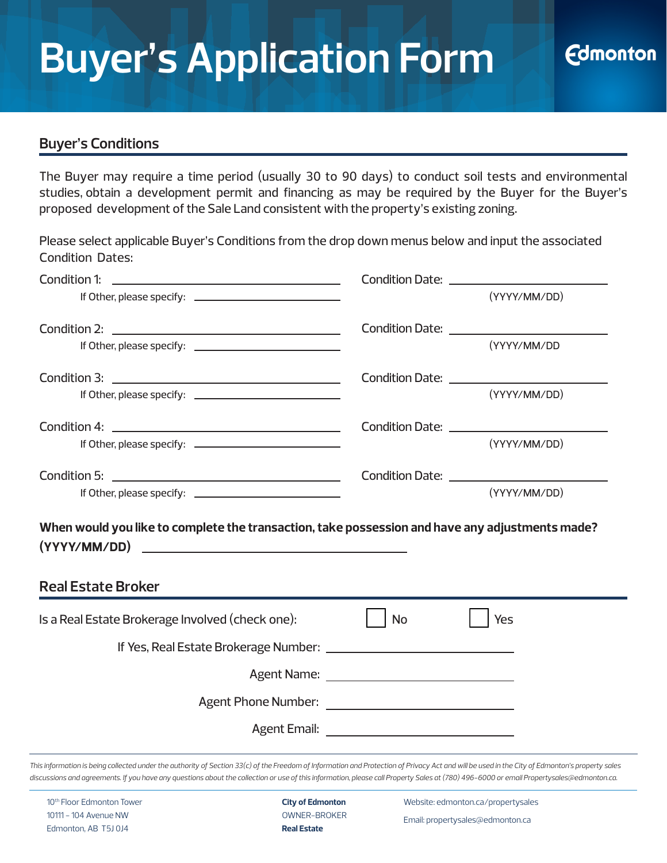#### **Buyer's Conditions**

The Buyer may require a time period (usually 30 to 90 days) to conduct soil tests and environmental studies, obtain a development permit and financing as may be required by the Buyer for the Buyer's proposed development of the Sale Land consistent with the property's existing zoning.

Please select applicable Buyer's Conditions from the drop down menus below and input the associated Condition Dates:

| Condition 1:<br><u> 1989 - Johann Harry Harry Harry Harry Harry Harry Harry Harry Harry Harry Harry Harry Harry Harry Harry Harry</u> |    | Condition Date: <u>_________________________</u> |
|---------------------------------------------------------------------------------------------------------------------------------------|----|--------------------------------------------------|
|                                                                                                                                       |    | (YYYY/MM/DD)                                     |
|                                                                                                                                       |    |                                                  |
|                                                                                                                                       |    | (YYYY/MM/DD                                      |
|                                                                                                                                       |    |                                                  |
|                                                                                                                                       |    | (YYYY/MM/DD)                                     |
|                                                                                                                                       |    |                                                  |
|                                                                                                                                       |    | (YYYY/MM/DD)                                     |
|                                                                                                                                       |    |                                                  |
|                                                                                                                                       |    | (YYYY/MM/DD)                                     |
| When would you like to complete the transaction, take possession and have any adjustments made?<br><b>Real Estate Broker</b>          |    |                                                  |
| Is a Real Estate Brokerage Involved (check one):                                                                                      | No | Yes                                              |
|                                                                                                                                       |    |                                                  |
|                                                                                                                                       |    |                                                  |
|                                                                                                                                       |    |                                                  |
|                                                                                                                                       |    |                                                  |
|                                                                                                                                       |    |                                                  |

*This information is being collected under the authority of Section 33(c) of the Freedom of Information and Protection of Privacy Act and will be used in the City of Edmonton's property sales discussions and agreements. If you have any questions about the collection or use of this information, please call Property Sales at (780) 496-6000 or email Propertysales@edmonton.ca.*

10<sup>th</sup> Floor Edmonton Tower 10111 - 104 Avenue NW Edmonton, AB T5J 0J4

**City of Edmonton** OWNER-BROKER **Real Estate**

Website: [edmonton.ca/propertysales](https://www.edmonton.ca/business_economy/land-sales.aspx)

Email: propertysales@edmonton.ca

**Edmonton**